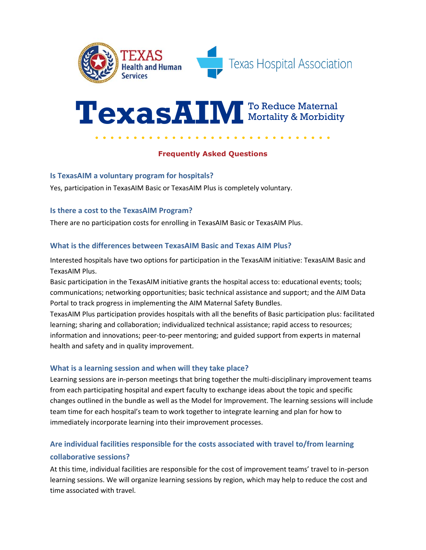

# **TexasAIM** To Reduce Maternal Mortality & Morbidity

# **Frequently Asked Questions**

# **Is TexasAIM a voluntary program for hospitals?**

Yes, participation in TexasAIM Basic or TexasAIM Plus is completely voluntary.

# **Is there a cost to the TexasAIM Program?**

There are no participation costs for enrolling in TexasAIM Basic or TexasAIM Plus.

# **What is the differences between TexasAIM Basic and Texas AIM Plus?**

Interested hospitals have two options for participation in the TexasAIM initiative: TexasAIM Basic and TexasAIM Plus.

Basic participation in the TexasAIM initiative grants the hospital access to: educational events; tools; communications; networking opportunities; basic technical assistance and support; and the AIM Data Portal to track progress in implementing the AIM Maternal Safety Bundles.

TexasAIM Plus participation provides hospitals with all the benefits of Basic participation plus: facilitated learning; sharing and collaboration; individualized technical assistance; rapid access to resources; information and innovations; peer-to-peer mentoring; and guided support from experts in maternal health and safety and in quality improvement.

# **What is a learning session and when will they take place?**

Learning sessions are in-person meetings that bring together the multi-disciplinary improvement teams from each participating hospital and expert faculty to exchange ideas about the topic and specific changes outlined in the bundle as well as the Model for Improvement. The learning sessions will include team time for each hospital's team to work together to integrate learning and plan for how to immediately incorporate learning into their improvement processes.

# **Are individual facilities responsible for the costs associated with travel to/from learning collaborative sessions?**

At this time, individual facilities are responsible for the cost of improvement teams' travel to in-person learning sessions. We will organize learning sessions by region, which may help to reduce the cost and time associated with travel.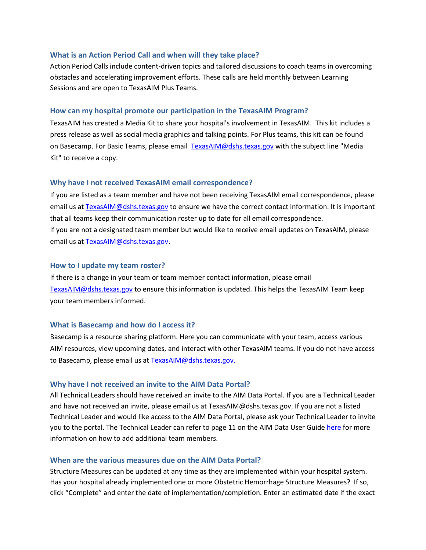#### **What is an Action Period Call and when will they take place?**

Action Period Calls include content-driven topics and tailored discussions to coach teams in overcoming obstacles and accelerating improvement efforts. These calls are held monthly between Learning Sessions and are open to TexasAIM Plus Teams.

#### **How can my hospital promote our participation in the TexasAIM Program?**

TexasAIM has created a Media Kit to share your hospital's involvement in TexasAIM. This kit includes a press release as well as social media graphics and talking points. For Plus teams, this kit can be found on [Basecamp.](https://3.basecamp.com/3987562/buckets/7823965/vaults/1567773445) For Basic Teams, please email [TexasAIM@dshs.texas.gov](mailto:TexasAIM@dshs.texas.gov) with the subject line "Media Kit" to receive a copy.

#### **Why have I not received TexasAIM email correspondence?**

If you are listed as a team member and have not been receiving TexasAIM email correspondence, please email us at [TexasAIM@dshs.texas.gov](mailto:TexasAIM@dshs.texas.gov) to ensure we have the correct contact information. It is important that all teams keep their communication roster up to date for all email correspondence. If you are not a designated team member but would like to receive email updates on TexasAIM, please email us at TexasAIM@dshs.texas.gov.

#### **How to I update my team roster?**

If there is a change in your team or team member contact information, please email [TexasAIM@dshs.texas.gov](mailto:TexasAIM@dshs.texas.gov) to ensure this information is updated. This helps the TexasAIM Team keep your team members informed.

#### **What is Basecamp and how do I access it?**

Basecamp is a resource sharing platform. Here you can communicate with your team, access various AIM resources, view upcoming dates, and interact with other TexasAIM teams. If you do not have access to Basecamp, please email us at [TexasAIM@dshs.texas.gov.](mailto:TexasAIM@dshs.texas.gov)

#### **Why have I not received an invite to the AIM Data Portal?**

All Technical Leaders should have received an invite to the AIM Data Portal. If you are a Technical Leader and have not received an invite, please email us at [TexasAIM@dshs.texas.gov.](mailto:TexasAIM@dshs.texas.gov) If you are not a listed Technical Leader and would like access to the AIM Data Portal, please ask your Technical Leader to invite you to the portal. The Technical Leader can refer to page 11 on the AIM Data User Guid[e here](https://safehealthcareforeverywoman.org/wp-content/uploads/2018/09/AIM-Data-Center-User-Guide-Latest.pdf) for more information on how to add additional team members.

### **When are the various measures due on the AIM Data Portal?**

Structure Measures can be updated at any time as they are implemented within your hospital system. Has your hospital already implemented one or more Obstetric Hemorrhage Structure Measures? If so, click "Complete" and enter the date of implementation/completion. Enter an estimated date if the exact